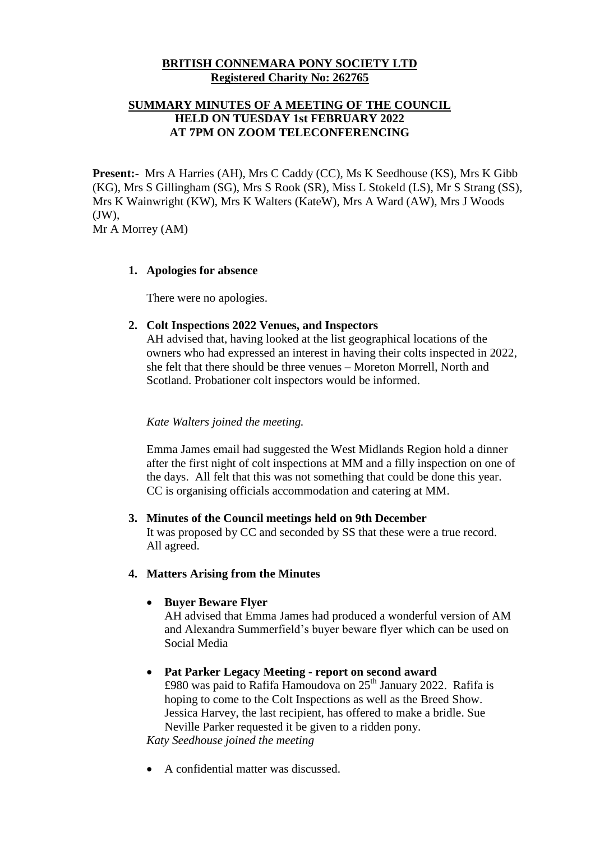## **BRITISH CONNEMARA PONY SOCIETY LTD Registered Charity No: 262765**

# **SUMMARY MINUTES OF A MEETING OF THE COUNCIL HELD ON TUESDAY 1st FEBRUARY 2022 AT 7PM ON ZOOM TELECONFERENCING**

**Present:-** Mrs A Harries (AH), Mrs C Caddy (CC), Ms K Seedhouse (KS), Mrs K Gibb (KG), Mrs S Gillingham (SG), Mrs S Rook (SR), Miss L Stokeld (LS), Mr S Strang (SS), Mrs K Wainwright (KW), Mrs K Walters (KateW), Mrs A Ward (AW), Mrs J Woods (JW),

Mr A Morrey (AM)

#### **1. Apologies for absence**

There were no apologies.

### **2. Colt Inspections 2022 Venues, and Inspectors**

AH advised that, having looked at the list geographical locations of the owners who had expressed an interest in having their colts inspected in 2022, she felt that there should be three venues – Moreton Morrell, North and Scotland. Probationer colt inspectors would be informed.

### *Kate Walters joined the meeting.*

Emma James email had suggested the West Midlands Region hold a dinner after the first night of colt inspections at MM and a filly inspection on one of the days. All felt that this was not something that could be done this year. CC is organising officials accommodation and catering at MM.

#### **3. Minutes of the Council meetings held on 9th December**

It was proposed by CC and seconded by SS that these were a true record. All agreed.

### **4. Matters Arising from the Minutes**

# **Buyer Beware Flyer**

AH advised that Emma James had produced a wonderful version of AM and Alexandra Summerfield's buyer beware flyer which can be used on Social Media

# **Pat Parker Legacy Meeting - report on second award**

£980 was paid to Rafifa Hamoudova on  $25<sup>th</sup>$  January 2022. Rafifa is hoping to come to the Colt Inspections as well as the Breed Show. Jessica Harvey, the last recipient, has offered to make a bridle. Sue Neville Parker requested it be given to a ridden pony.

*Katy Seedhouse joined the meeting*

A confidential matter was discussed.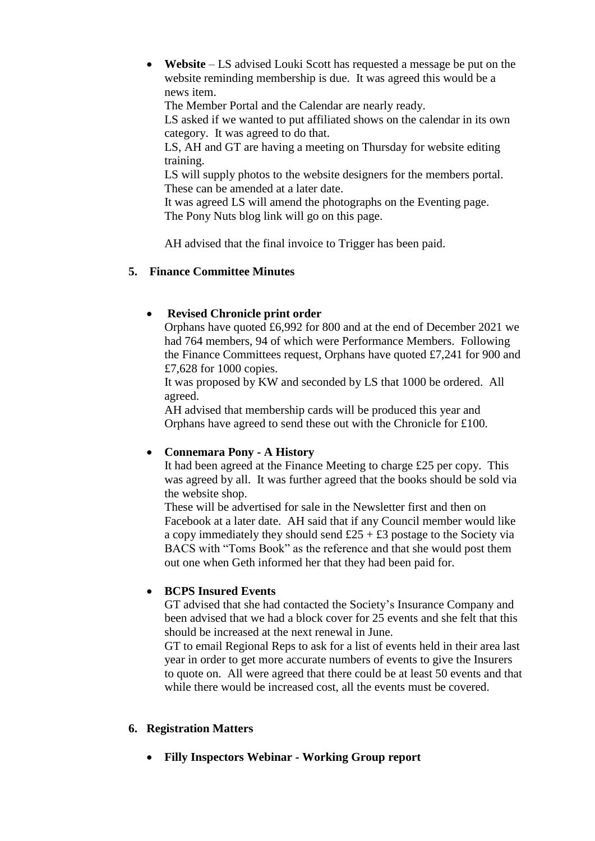**Website** – LS advised Louki Scott has requested a message be put on the website reminding membership is due. It was agreed this would be a news item.

The Member Portal and the Calendar are nearly ready.

LS asked if we wanted to put affiliated shows on the calendar in its own category. It was agreed to do that.

LS, AH and GT are having a meeting on Thursday for website editing training.

LS will supply photos to the website designers for the members portal. These can be amended at a later date.

It was agreed LS will amend the photographs on the Eventing page. The Pony Nuts blog link will go on this page.

AH advised that the final invoice to Trigger has been paid.

# **5. Finance Committee Minutes**

# **Revised Chronicle print order**

Orphans have quoted £6,992 for 800 and at the end of December 2021 we had 764 members, 94 of which were Performance Members. Following the Finance Committees request, Orphans have quoted £7,241 for 900 and £7,628 for 1000 copies.

It was proposed by KW and seconded by LS that 1000 be ordered. All agreed.

AH advised that membership cards will be produced this year and Orphans have agreed to send these out with the Chronicle for £100.

# **Connemara Pony - A History**

It had been agreed at the Finance Meeting to charge £25 per copy. This was agreed by all. It was further agreed that the books should be sold via the website shop.

These will be advertised for sale in the Newsletter first and then on Facebook at a later date. AH said that if any Council member would like a copy immediately they should send  $£25 + £3$  postage to the Society via BACS with "Toms Book" as the reference and that she would post them out one when Geth informed her that they had been paid for.

# **BCPS Insured Events**

GT advised that she had contacted the Society's Insurance Company and been advised that we had a block cover for 25 events and she felt that this should be increased at the next renewal in June.

GT to email Regional Reps to ask for a list of events held in their area last year in order to get more accurate numbers of events to give the Insurers to quote on. All were agreed that there could be at least 50 events and that while there would be increased cost, all the events must be covered.

#### **6. Registration Matters**

**Filly Inspectors Webinar - Working Group report**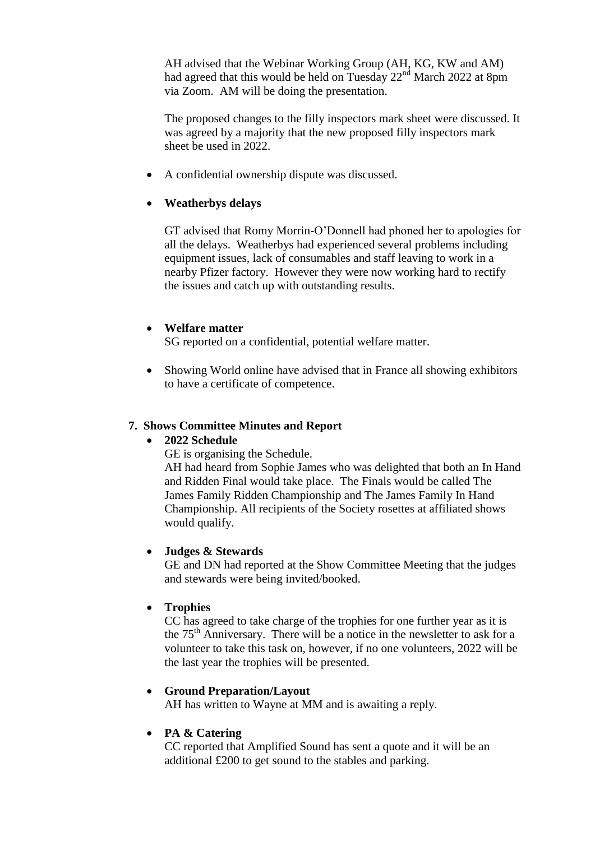AH advised that the Webinar Working Group (AH, KG, KW and AM) had agreed that this would be held on Tuesday  $22<sup>nd</sup>$  March 2022 at 8pm via Zoom. AM will be doing the presentation.

The proposed changes to the filly inspectors mark sheet were discussed. It was agreed by a majority that the new proposed filly inspectors mark sheet be used in 2022.

A confidential ownership dispute was discussed.

## **Weatherbys delays**

GT advised that Romy Morrin-O'Donnell had phoned her to apologies for all the delays. Weatherbys had experienced several problems including equipment issues, lack of consumables and staff leaving to work in a nearby Pfizer factory. However they were now working hard to rectify the issues and catch up with outstanding results.

### **Welfare matter**

SG reported on a confidential, potential welfare matter.

• Showing World online have advised that in France all showing exhibitors to have a certificate of competence.

#### **7. Shows Committee Minutes and Report**

#### **2022 Schedule**

GE is organising the Schedule.

AH had heard from Sophie James who was delighted that both an In Hand and Ridden Final would take place. The Finals would be called The James Family Ridden Championship and The James Family In Hand Championship. All recipients of the Society rosettes at affiliated shows would qualify.

#### **Judges & Stewards**

GE and DN had reported at the Show Committee Meeting that the judges and stewards were being invited/booked.

#### **Trophies**

CC has agreed to take charge of the trophies for one further year as it is the  $75<sup>th</sup>$  Anniversary. There will be a notice in the newsletter to ask for a volunteer to take this task on, however, if no one volunteers, 2022 will be the last year the trophies will be presented.

#### **Ground Preparation/Layout**

AH has written to Wayne at MM and is awaiting a reply.

# **PA & Catering**

CC reported that Amplified Sound has sent a quote and it will be an additional £200 to get sound to the stables and parking.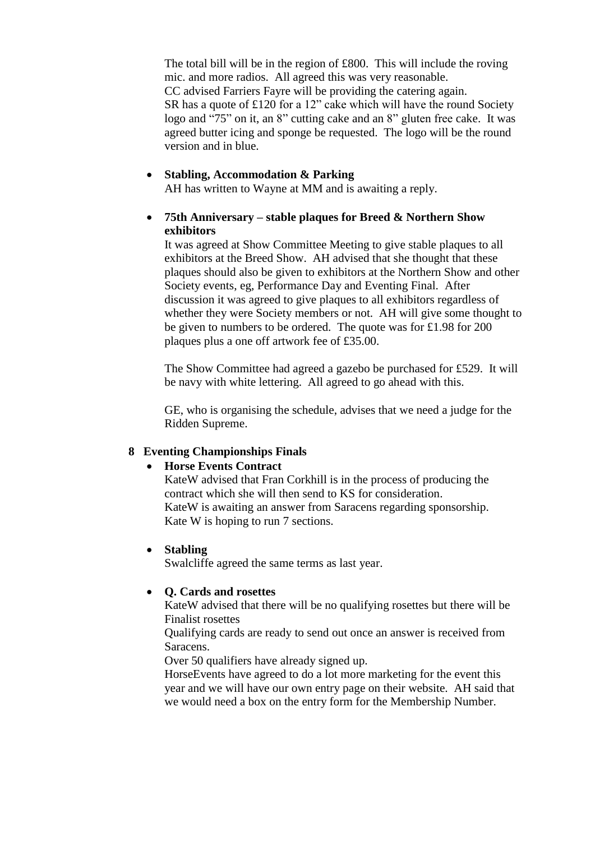The total bill will be in the region of £800. This will include the roving mic. and more radios. All agreed this was very reasonable. CC advised Farriers Fayre will be providing the catering again. SR has a quote of £120 for a 12" cake which will have the round Society logo and "75" on it, an 8" cutting cake and an 8" gluten free cake. It was agreed butter icing and sponge be requested. The logo will be the round version and in blue.

#### **Stabling, Accommodation & Parking**

AH has written to Wayne at MM and is awaiting a reply.

### **75th Anniversary – stable plaques for Breed & Northern Show exhibitors**

It was agreed at Show Committee Meeting to give stable plaques to all exhibitors at the Breed Show. AH advised that she thought that these plaques should also be given to exhibitors at the Northern Show and other Society events, eg, Performance Day and Eventing Final. After discussion it was agreed to give plaques to all exhibitors regardless of whether they were Society members or not. AH will give some thought to be given to numbers to be ordered. The quote was for £1.98 for 200 plaques plus a one off artwork fee of £35.00.

The Show Committee had agreed a gazebo be purchased for £529. It will be navy with white lettering. All agreed to go ahead with this.

GE, who is organising the schedule, advises that we need a judge for the Ridden Supreme.

#### **8 Eventing Championships Finals**

#### **Horse Events Contract**

KateW advised that Fran Corkhill is in the process of producing the contract which she will then send to KS for consideration. KateW is awaiting an answer from Saracens regarding sponsorship. Kate W is hoping to run 7 sections.

#### **Stabling**

Swalcliffe agreed the same terms as last year.

#### **Q. Cards and rosettes**

KateW advised that there will be no qualifying rosettes but there will be Finalist rosettes

Qualifying cards are ready to send out once an answer is received from Saracens.

Over 50 qualifiers have already signed up.

HorseEvents have agreed to do a lot more marketing for the event this year and we will have our own entry page on their website. AH said that we would need a box on the entry form for the Membership Number.